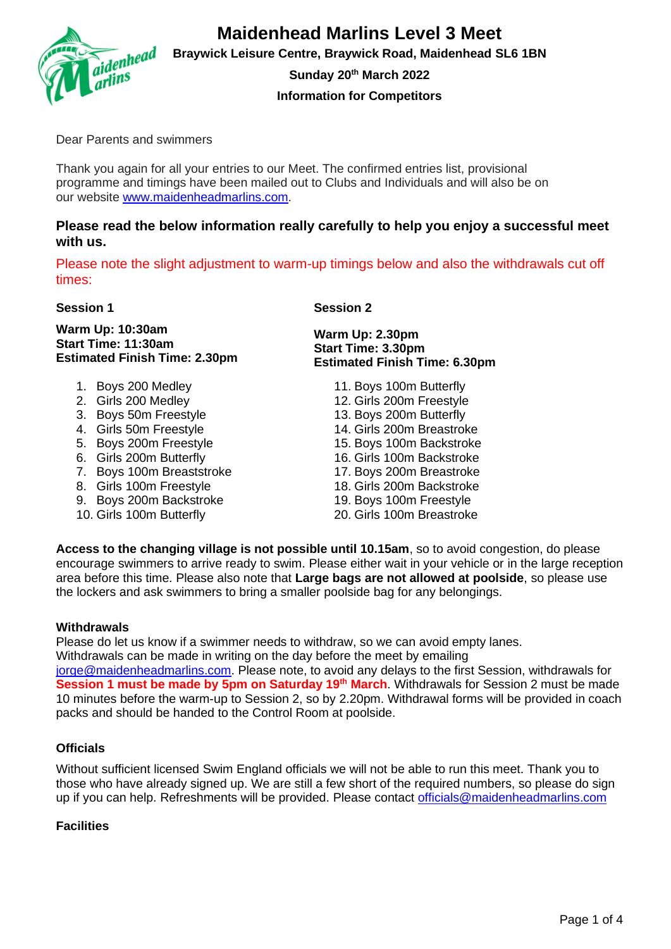

**Braywick Leisure Centre, Braywick Road, Maidenhead SL6 1BN**

**Sunday 20th March 2022**

**Information for Competitors**

Dear Parents and swimmers

Thank you again for all your entries to our Meet. The confirmed entries list, provisional programme and timings have been mailed out to Clubs and Individuals and will also be on our website [www.maidenheadmarlins.com.](http://www.maidenheadmarlins.com/)

# **Please read the below information really carefully to help you enjoy a successful meet with us.**

Please note the slight adjustment to warm-up timings below and also the withdrawals cut off times:

**Session 1 Session 2**

**Warm Up: 10:30am Start Time: 11:30am Estimated Finish Time: 2.30pm**

- 1. Boys 200 Medley
- 2. Girls 200 Medley
- 3. Boys 50m Freestyle
- 4. Girls 50m Freestyle
- 5. Boys 200m Freestyle
- 6. Girls 200m Butterfly
- 7. Boys 100m Breaststroke
- 8. Girls 100m Freestyle
- 9. Boys 200m Backstroke
- 10. Girls 100m Butterfly

**Warm Up: 2.30pm Start Time: 3.30pm Estimated Finish Time: 6.30pm**

> 11. Boys 100m Butterfly 12. Girls 200m Freestyle 13. Boys 200m Butterfly 14. Girls 200m Breastroke 15. Boys 100m Backstroke 16. Girls 100m Backstroke 17. Boys 200m Breastroke 18. Girls 200m Backstroke 19. Boys 100m Freestyle 20. Girls 100m Breastroke

**Access to the changing village is not possible until 10.15am**, so to avoid congestion, do please encourage swimmers to arrive ready to swim. Please either wait in your vehicle or in the large reception area before this time. Please also note that **Large bags are not allowed at poolside**, so please use the lockers and ask swimmers to bring a smaller poolside bag for any belongings.

# **Withdrawals**

Please do let us know if a swimmer needs to withdraw, so we can avoid empty lanes. Withdrawals can be made in writing on the day before the meet by emailing

[jorge@maidenheadmarlins.com.](mailto:jorge@maidenheadmarlins.com) Please note, to avoid any delays to the first Session, withdrawals for **Session 1 must be made by 5pm on Saturday 19th March**. Withdrawals for Session 2 must be made 10 minutes before the warm-up to Session 2, so by 2.20pm. Withdrawal forms will be provided in coach packs and should be handed to the Control Room at poolside.

# **Officials**

Without sufficient licensed Swim England officials we will not be able to run this meet. Thank you to those who have already signed up. We are still a few short of the required numbers, so please do sign up if you can help. Refreshments will be provided. Please contact [officials@maidenheadmarlins.com](mailto:officials@maidenheadmarlins.com)

# **Facilities**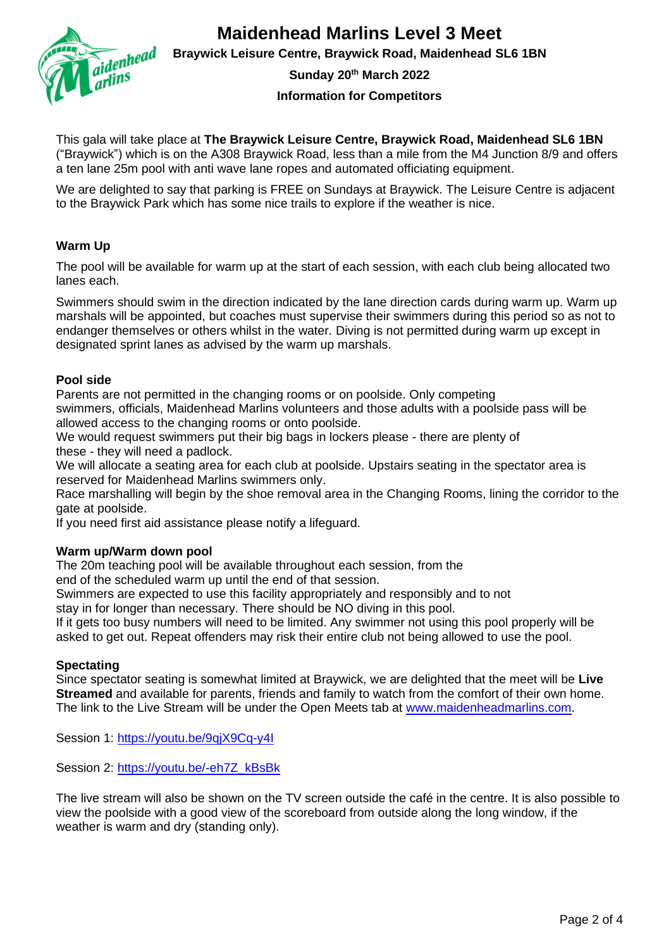

**Braywick Leisure Centre, Braywick Road, Maidenhead SL6 1BN**

**Sunday 20th March 2022**

#### **Information for Competitors**

This gala will take place at **The Braywick Leisure Centre, Braywick Road, Maidenhead SL6 1BN** ("Braywick") which is on the A308 Braywick Road, less than a mile from the M4 Junction 8/9 and offers a ten lane 25m pool with anti wave lane ropes and automated officiating equipment.

We are delighted to say that parking is FREE on Sundays at Braywick. The Leisure Centre is adjacent to the Braywick Park which has some nice trails to explore if the weather is nice.

## **Warm Up**

The pool will be available for warm up at the start of each session, with each club being allocated two lanes each.

Swimmers should swim in the direction indicated by the lane direction cards during warm up. Warm up marshals will be appointed, but coaches must supervise their swimmers during this period so as not to endanger themselves or others whilst in the water. Diving is not permitted during warm up except in designated sprint lanes as advised by the warm up marshals.

#### **Pool side**

Parents are not permitted in the changing rooms or on poolside. Only competing swimmers, officials, Maidenhead Marlins volunteers and those adults with a poolside pass will be allowed access to the changing rooms or onto poolside.

We would request swimmers put their big bags in lockers please - there are plenty of these - they will need a padlock.

We will allocate a seating area for each club at poolside. Upstairs seating in the spectator area is reserved for Maidenhead Marlins swimmers only.

Race marshalling will begin by the shoe removal area in the Changing Rooms, lining the corridor to the gate at poolside.

If you need first aid assistance please notify a lifeguard.

#### **Warm up/Warm down pool**

The 20m teaching pool will be available throughout each session, from the

end of the scheduled warm up until the end of that session.

Swimmers are expected to use this facility appropriately and responsibly and to not

stay in for longer than necessary. There should be NO diving in this pool.

If it gets too busy numbers will need to be limited. Any swimmer not using this pool properly will be asked to get out. Repeat offenders may risk their entire club not being allowed to use the pool.

### **Spectating**

Since spectator seating is somewhat limited at Braywick, we are delighted that the meet will be **Live Streamed** and available for parents, friends and family to watch from the comfort of their own home. The link to the Live Stream will be under the Open Meets tab at [www.maidenheadmarlins.com.](http://www.maidenheadmarlins.com/)

Session 1: [https://youtu.be/9qjX9Cq-y4I](https://eur01.safelinks.protection.outlook.com/?url=https%3A%2F%2Fyoutu.be%2F9qjX9Cq-y4I&data=04%7C01%7Cdiana.kennedy%40bupa.com%7Cc27ef58a55ae42fcc84c08da066232a1%7C02af5f5edd71405680903e7b436a65db%7C0%7C0%7C637829316081065776%7CUnknown%7CTWFpbGZsb3d8eyJWIjoiMC4wLjAwMDAiLCJQIjoiV2luMzIiLCJBTiI6Ik1haWwiLCJXVCI6Mn0%3D%7C3000&sdata=tQpCr7pgMPztTGJHBp5cVg%2BPbJUaorPb7Y3t8R0T600%3D&reserved=0)

Session 2: [https://youtu.be/-eh7Z\\_kBsBk](https://eur01.safelinks.protection.outlook.com/?url=https%3A%2F%2Fyoutu.be%2F-eh7Z_kBsBk&data=04%7C01%7Cdiana.kennedy%40bupa.com%7Cc27ef58a55ae42fcc84c08da066232a1%7C02af5f5edd71405680903e7b436a65db%7C0%7C0%7C637829316081065776%7CUnknown%7CTWFpbGZsb3d8eyJWIjoiMC4wLjAwMDAiLCJQIjoiV2luMzIiLCJBTiI6Ik1haWwiLCJXVCI6Mn0%3D%7C3000&sdata=AM9vWik93PBvjW04m3hwrg%2F9Uc9NvFCT%2BIsGE23anMk%3D&reserved=0)

The live stream will also be shown on the TV screen outside the café in the centre. It is also possible to view the poolside with a good view of the scoreboard from outside along the long window, if the weather is warm and dry (standing only).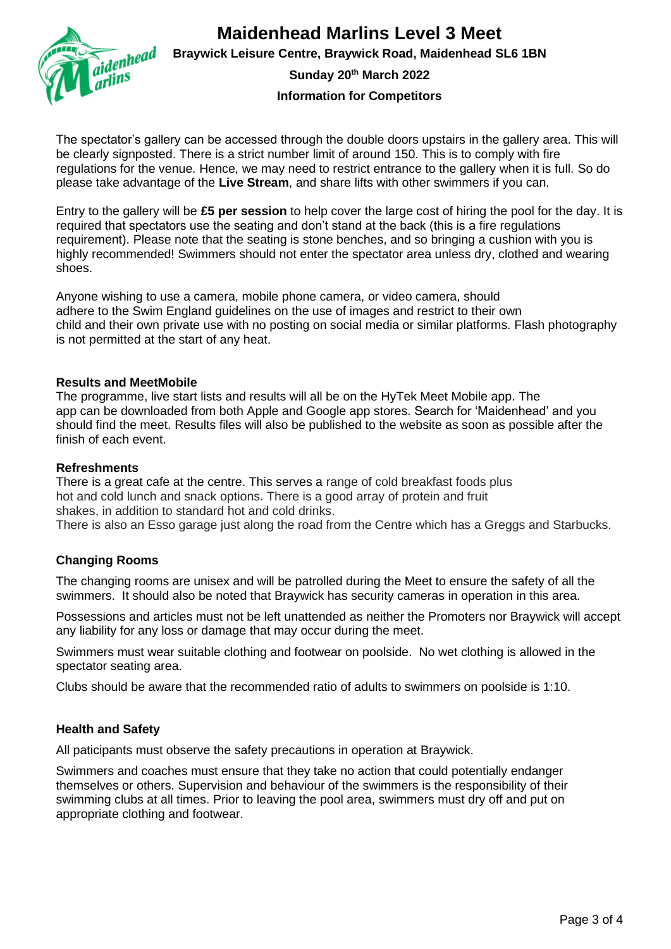

**Braywick Leisure Centre, Braywick Road, Maidenhead SL6 1BN**

**Sunday 20th March 2022**

**Information for Competitors**

The spectator's gallery can be accessed through the double doors upstairs in the gallery area. This will be clearly signposted. There is a strict number limit of around 150. This is to comply with fire regulations for the venue. Hence, we may need to restrict entrance to the gallery when it is full. So do please take advantage of the **Live Stream**, and share lifts with other swimmers if you can.

Entry to the gallery will be **£5 per session** to help cover the large cost of hiring the pool for the day. It is required that spectators use the seating and don't stand at the back (this is a fire regulations requirement). Please note that the seating is stone benches, and so bringing a cushion with you is highly recommended! Swimmers should not enter the spectator area unless dry, clothed and wearing shoes.

Anyone wishing to use a camera, mobile phone camera, or video camera, should adhere to the Swim England guidelines on the use of images and restrict to their own child and their own private use with no posting on social media or similar platforms. Flash photography is not permitted at the start of any heat.

### **Results and MeetMobile**

The programme, live start lists and results will all be on the HyTek Meet Mobile app. The app can be downloaded from both Apple and Google app stores. Search for 'Maidenhead' and you should find the meet. Results files will also be published to the website as soon as possible after the finish of each event.

#### **Refreshments**

There is a great cafe at the centre. This serves a range of cold breakfast foods plus hot and cold lunch and snack options. There is a good array of protein and fruit shakes, in addition to standard hot and cold drinks. There is also an Esso garage just along the road from the Centre which has a Greggs and Starbucks.

# **Changing Rooms**

The changing rooms are unisex and will be patrolled during the Meet to ensure the safety of all the swimmers. It should also be noted that Braywick has security cameras in operation in this area.

Possessions and articles must not be left unattended as neither the Promoters nor Braywick will accept any liability for any loss or damage that may occur during the meet.

Swimmers must wear suitable clothing and footwear on poolside. No wet clothing is allowed in the spectator seating area.

Clubs should be aware that the recommended ratio of adults to swimmers on poolside is 1:10.

### **Health and Safety**

All paticipants must observe the safety precautions in operation at Braywick.

Swimmers and coaches must ensure that they take no action that could potentially endanger themselves or others. Supervision and behaviour of the swimmers is the responsibility of their swimming clubs at all times. Prior to leaving the pool area, swimmers must dry off and put on appropriate clothing and footwear.